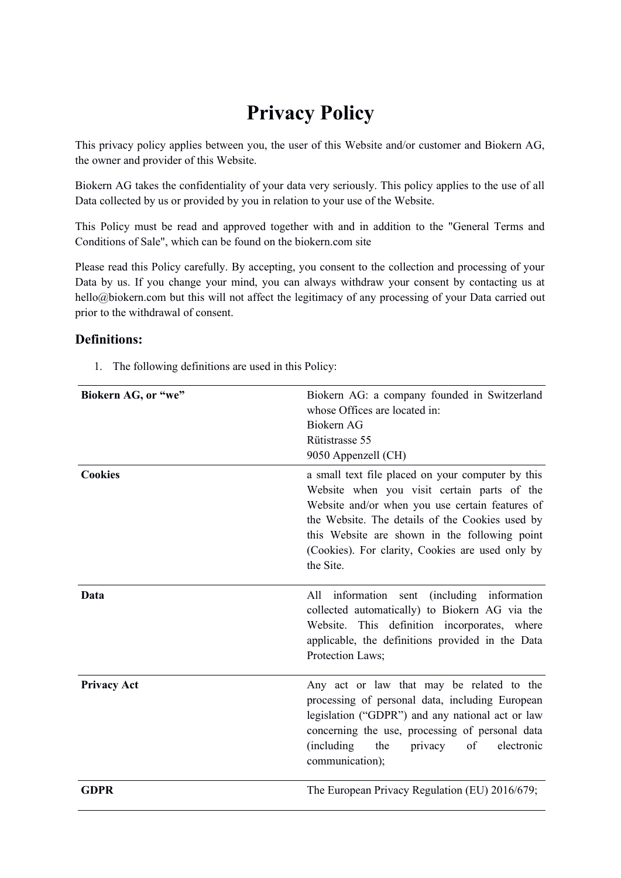# **Privacy Policy**

This privacy policy applies between you, the user of this Website and/or customer and Biokern AG, the owner and provider of this Website.

Biokern AG takes the confidentiality of your data very seriously. This policy applies to the use of all Data collected by us or provided by you in relation to your use of the Website.

This Policy must be read and approved together with and in addition to the "General Terms and Conditions of Sale", which can be found on the biokern.com site

Please read this Policy carefully. By accepting, you consent to the collection and processing of your Data by us. If you change your mind, you can always withdraw your consent by contacting us at hello@biokern.com but this will not affect the legitimacy of any processing of your Data carried out prior to the withdrawal of consent.

#### **Definitions:**

1. The following definitions are used in this Policy:

| Biokern AG, or "we" | Biokern AG: a company founded in Switzerland<br>whose Offices are located in:<br>Biokern AG<br>Rütistrasse 55<br>9050 Appenzell (CH)                                                                                                                                                                                     |
|---------------------|--------------------------------------------------------------------------------------------------------------------------------------------------------------------------------------------------------------------------------------------------------------------------------------------------------------------------|
| <b>Cookies</b>      | a small text file placed on your computer by this<br>Website when you visit certain parts of the<br>Website and/or when you use certain features of<br>the Website. The details of the Cookies used by<br>this Website are shown in the following point<br>(Cookies). For clarity, Cookies are used only by<br>the Site. |
| Data                | information sent (including information<br>All<br>collected automatically) to Biokern AG via the<br>Website. This definition incorporates, where<br>applicable, the definitions provided in the Data<br>Protection Laws;                                                                                                 |
| <b>Privacy Act</b>  | Any act or law that may be related to the<br>processing of personal data, including European<br>legislation ("GDPR") and any national act or law<br>concerning the use, processing of personal data<br>the<br>of<br>(including)<br>privacy<br>electronic<br>communication);                                              |
| <b>GDPR</b>         | The European Privacy Regulation (EU) 2016/679;                                                                                                                                                                                                                                                                           |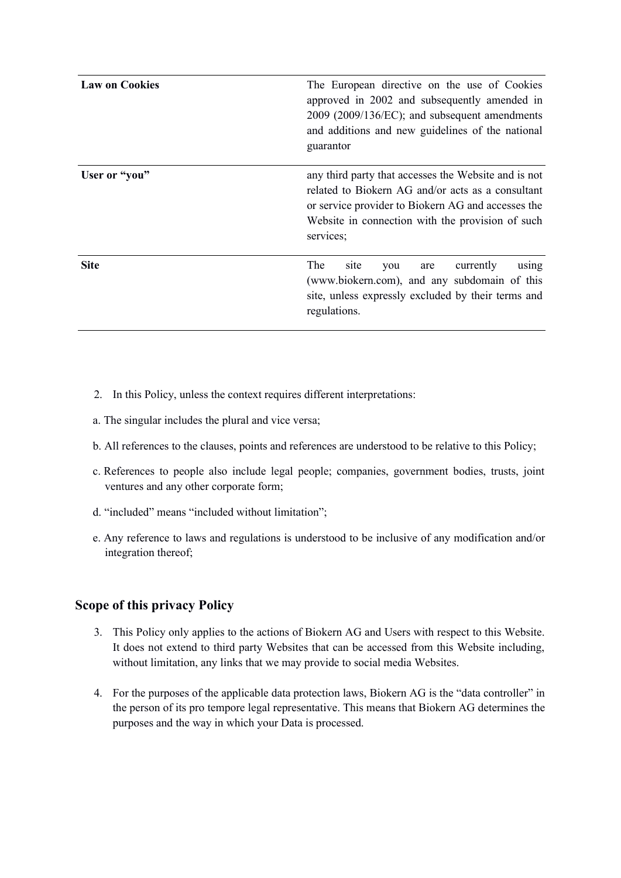| <b>Law on Cookies</b> | The European directive on the use of Cookies<br>approved in 2002 and subsequently amended in<br>2009 (2009/136/EC); and subsequent amendments<br>and additions and new guidelines of the national<br>guarantor                   |
|-----------------------|----------------------------------------------------------------------------------------------------------------------------------------------------------------------------------------------------------------------------------|
| User or "you"         | any third party that accesses the Website and is not<br>related to Biokern AG and/or acts as a consultant<br>or service provider to Biokern AG and accesses the<br>Website in connection with the provision of such<br>services; |
| <b>Site</b>           | The<br>site<br>currently<br>using<br>you<br>are<br>(www.biokern.com), and any subdomain of this<br>site, unless expressly excluded by their terms and<br>regulations.                                                            |

- 2. In this Policy, unless the context requires different interpretations:
- a. The singular includes the plural and vice versa;
- b. All references to the clauses, points and references are understood to be relative to this Policy;
- c. References to people also include legal people; companies, government bodies, trusts, joint ventures and any other corporate form;
- d. "included" means "included without limitation";
- e. Any reference to laws and regulations is understood to be inclusive of any modification and/or integration thereof;

#### **Scope of this privacy Policy**

- 3. This Policy only applies to the actions of Biokern AG and Users with respect to this Website. It does not extend to third party Websites that can be accessed from this Website including, without limitation, any links that we may provide to social media Websites.
- 4. For the purposes of the applicable data protection laws, Biokern AG is the "data controller" in the person of its pro tempore legal representative. This means that Biokern AG determines the purposes and the way in which your Data is processed.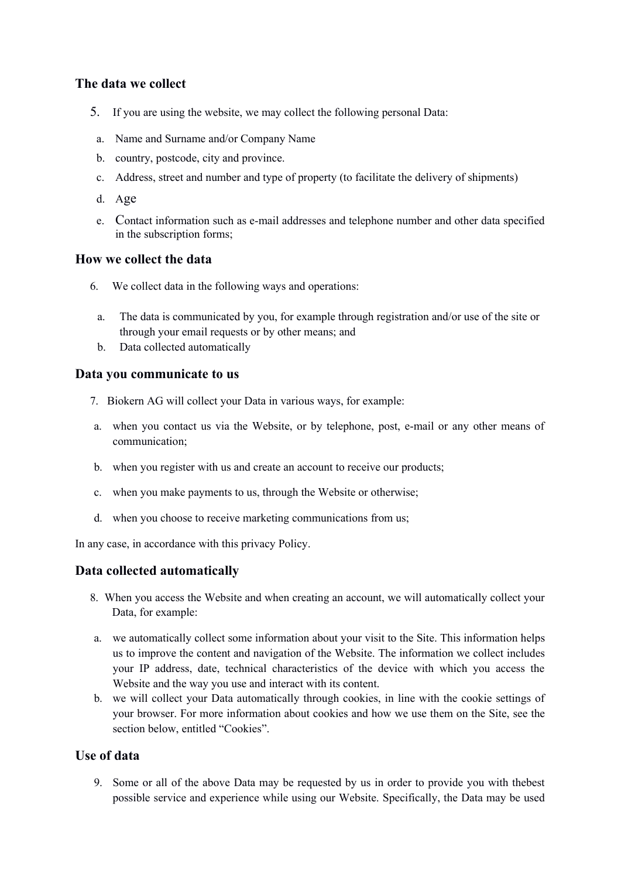## **The data we collect**

- 5. If you are using the website, we may collect the following personal Data:
- a. Name and Surname and/or Company Name
- b. country, postcode, city and province.
- c. Address, street and number and type of property (to facilitate the delivery of shipments)
- d. Age
- e. Contact information such as e-mail addresses and telephone number and other data specified in the subscription forms;

## **How we collect the data**

- 6. We collect data in the following ways and operations:
	- a. The data is communicated by you, for example through registration and/or use of the site or through your email requests or by other means; and
	- b. Data collected automatically

#### **Data you communicate to us**

- 7. Biokern AG will collect your Data in various ways, for example:
- a. when you contact us via the Website, or by telephone, post, e-mail or any other means of communication;
- b. when you register with us and create an account to receive our products;
- c. when you make payments to us, through the Website or otherwise;
- d. when you choose to receive marketing communications from us;

In any case, in accordance with this privacy Policy.

#### **Data collected automatically**

- 8. When you access the Website and when creating an account, we will automatically collect your Data, for example:
- a. we automatically collect some information about your visit to the Site. This information helps us to improve the content and navigation of the Website. The information we collect includes your IP address, date, technical characteristics of the device with which you access the Website and the way you use and interact with its content.
- b. we will collect your Data automatically through cookies, in line with the cookie settings of your browser. For more information about cookies and how we use them on the Site, see the section below, entitled "Cookies".

# **Use of data**

9. Some or all of the above Data may be requested by us in order to provide you with thebest possible service and experience while using our Website. Specifically, the Data may be used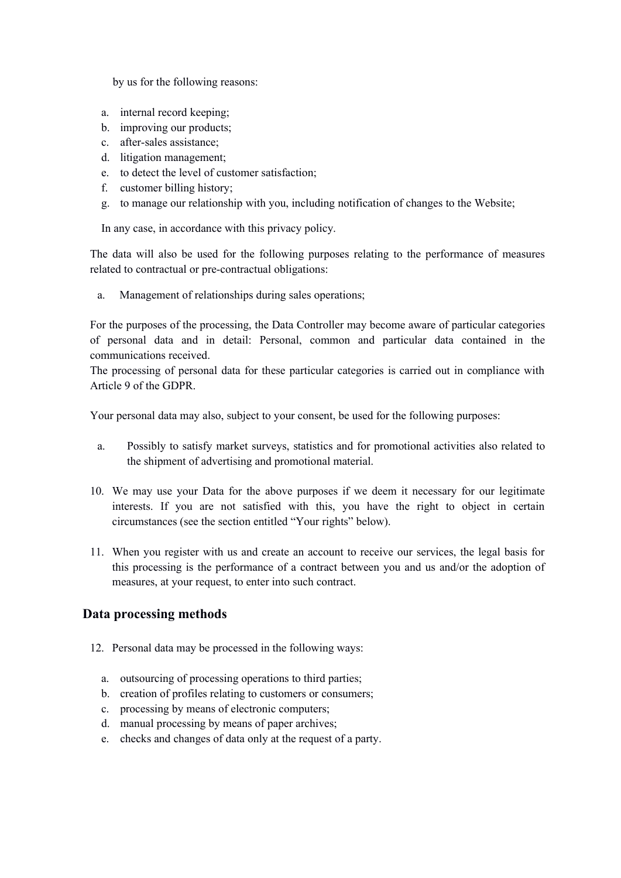by us for the following reasons:

- a. internal record keeping;
- b. improving our products;
- c. after-sales assistance;
- d. litigation management;
- e. to detect the level of customer satisfaction;
- f. customer billing history;
- g. to manage our relationship with you, including notification of changes to the Website;

In any case, in accordance with this privacy policy.

The data will also be used for the following purposes relating to the performance of measures related to contractual or pre-contractual obligations:

a. Management of relationships during sales operations;

For the purposes of the processing, the Data Controller may become aware of particular categories of personal data and in detail: Personal, common and particular data contained in the communications received.

The processing of personal data for these particular categories is carried out in compliance with Article 9 of the GDPR.

Your personal data may also, subject to your consent, be used for the following purposes:

- a. Possibly to satisfy market surveys, statistics and for promotional activities also related to the shipment of advertising and promotional material.
- 10. We may use your Data for the above purposes if we deem it necessary for our legitimate interests. If you are not satisfied with this, you have the right to object in certain circumstances (see the section entitled "Your rights" below).
- 11. When you register with us and create an account to receive our services, the legal basis for this processing is the performance of a contract between you and us and/or the adoption of measures, at your request, to enter into such contract.

#### **Data processing methods**

- 12. Personal data may be processed in the following ways:
	- a. outsourcing of processing operations to third parties;
	- b. creation of profiles relating to customers or consumers;
	- c. processing by means of electronic computers;
	- d. manual processing by means of paper archives;
	- e. checks and changes of data only at the request of a party.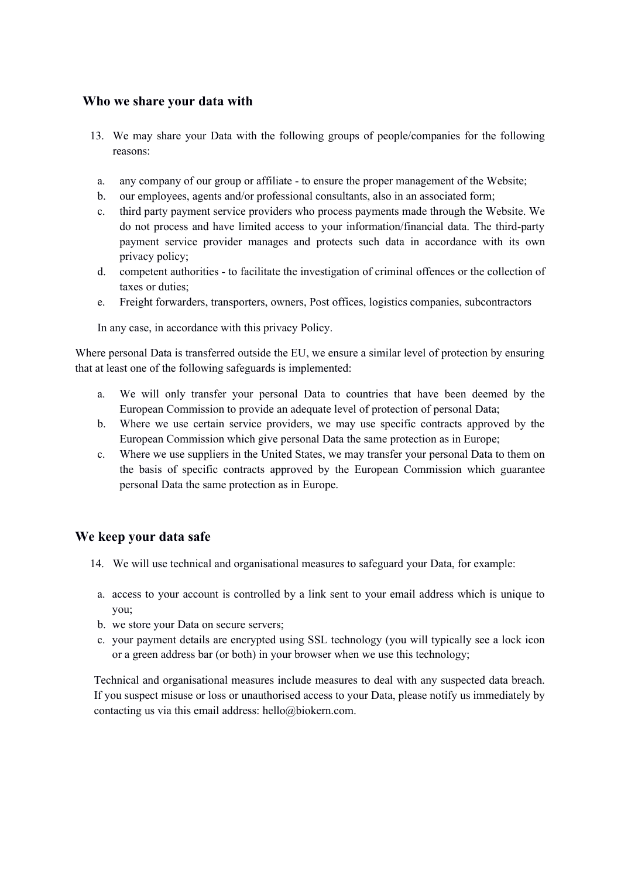#### **Who we share your data with**

- 13. We may share your Data with the following groups of people/companies for the following reasons:
- a. any company of our group or affiliate to ensure the proper management of the Website;
- b. our employees, agents and/or professional consultants, also in an associated form;
- c. third party payment service providers who process payments made through the Website. We do not process and have limited access to your information/financial data. The third-party payment service provider manages and protects such data in accordance with its own privacy policy;
- d. competent authorities to facilitate the investigation of criminal offences or the collection of taxes or duties;
- e. Freight forwarders, transporters, owners, Post offices, logistics companies, subcontractors

In any case, in accordance with this privacy Policy.

Where personal Data is transferred outside the EU, we ensure a similar level of protection by ensuring that at least one of the following safeguards is implemented:

- a. We will only transfer your personal Data to countries that have been deemed by the European Commission to provide an adequate level of protection of personal Data;
- b. Where we use certain service providers, we may use specific contracts approved by the European Commission which give personal Data the same protection as in Europe;
- c. Where we use suppliers in the United States, we may transfer your personal Data to them on the basis of specific contracts approved by the European Commission which guarantee personal Data the same protection as in Europe.

#### **We keep your data safe**

- 14. We will use technical and organisational measures to safeguard your Data, for example:
- a. access to your account is controlled by a link sent to your email address which is unique to you;
- b. we store your Data on secure servers;
- c. your payment details are encrypted using SSL technology (you will typically see a lock icon or a green address bar (or both) in your browser when we use this technology;

Technical and organisational measures include measures to deal with any suspected data breach. If you suspect misuse or loss or unauthorised access to your Data, please notify us immediately by contacting us via this email address: hello@biokern.com.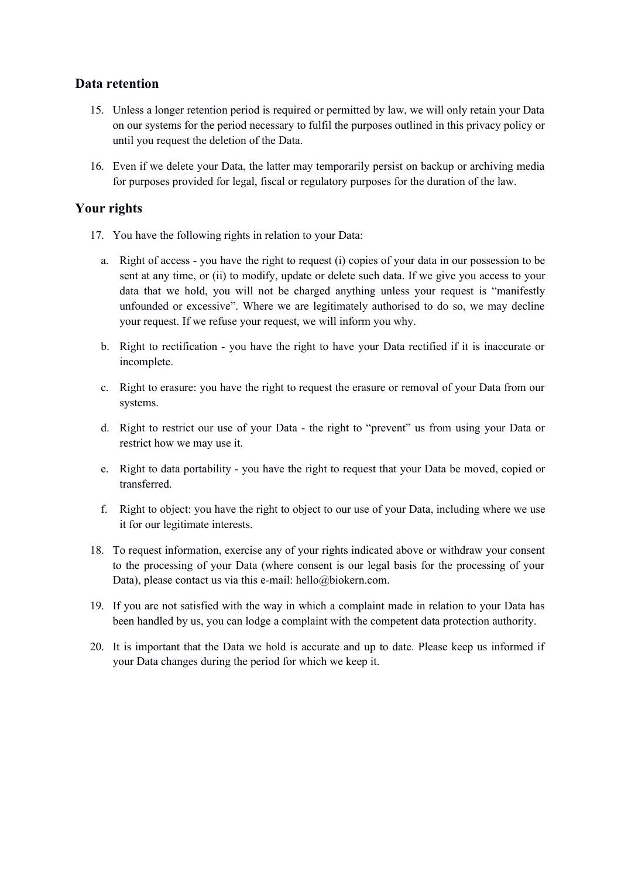## **Data retention**

- 15. Unless a longer retention period is required or permitted by law, we will only retain your Data on our systems for the period necessary to fulfil the purposes outlined in this privacy policy or until you request the deletion of the Data.
- 16. Even if we delete your Data, the latter may temporarily persist on backup or archiving media for purposes provided for legal, fiscal or regulatory purposes for the duration of the law.

#### **Your rights**

- 17. You have the following rights in relation to your Data:
	- a. Right of access you have the right to request (i) copies of your data in our possession to be sent at any time, or (ii) to modify, update or delete such data. If we give you access to your data that we hold, you will not be charged anything unless your request is "manifestly unfounded or excessive". Where we are legitimately authorised to do so, we may decline your request. If we refuse your request, we will inform you why.
	- b. Right to rectification you have the right to have your Data rectified if it is inaccurate or incomplete.
	- c. Right to erasure: you have the right to request the erasure or removal of your Data from our systems.
	- d. Right to restrict our use of your Data the right to "prevent" us from using your Data or restrict how we may use it.
	- e. Right to data portability you have the right to request that your Data be moved, copied or transferred.
	- f. Right to object: you have the right to object to our use of your Data, including where we use it for our legitimate interests.
- 18. To request information, exercise any of your rights indicated above or withdraw your consent to the processing of your Data (where consent is our legal basis for the processing of your Data), please contact us via this e-mail: hello@biokern.com.
- 19. If you are not satisfied with the way in which a complaint made in relation to your Data has been handled by us, you can lodge a complaint with the competent data protection authority.
- 20. It is important that the Data we hold is accurate and up to date. Please keep us informed if your Data changes during the period for which we keep it.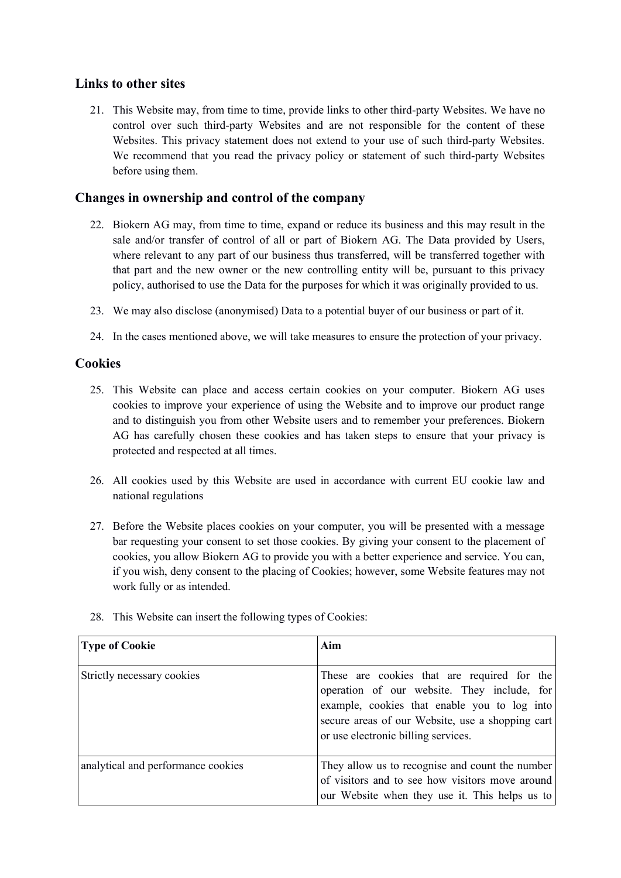## **Links to other sites**

21. This Website may, from time to time, provide links to other third-party Websites. We have no control over such third-party Websites and are not responsible for the content of these Websites. This privacy statement does not extend to your use of such third-party Websites. We recommend that you read the privacy policy or statement of such third-party Websites before using them.

#### **Changes in ownership and control of the company**

- 22. Biokern AG may, from time to time, expand or reduce its business and this may result in the sale and/or transfer of control of all or part of Biokern AG. The Data provided by Users, where relevant to any part of our business thus transferred, will be transferred together with that part and the new owner or the new controlling entity will be, pursuant to this privacy policy, authorised to use the Data for the purposes for which it was originally provided to us.
- 23. We may also disclose (anonymised) Data to a potential buyer of our business or part of it.
- 24. In the cases mentioned above, we will take measures to ensure the protection of your privacy.

#### **Cookies**

- 25. This Website can place and access certain cookies on your computer. Biokern AG uses cookies to improve your experience of using the Website and to improve our product range and to distinguish you from other Website users and to remember your preferences. Biokern AG has carefully chosen these cookies and has taken steps to ensure that your privacy is protected and respected at all times.
- 26. All cookies used by this Website are used in accordance with current EU cookie law and national regulations
- 27. Before the Website places cookies on your computer, you will be presented with a message bar requesting your consent to set those cookies. By giving your consent to the placement of cookies, you allow Biokern AG to provide you with a better experience and service. You can, if you wish, deny consent to the placing of Cookies; however, some Website features may not work fully or as intended.

| <b>Type of Cookie</b>              | Aim                                                                                                                                                                                                                                   |
|------------------------------------|---------------------------------------------------------------------------------------------------------------------------------------------------------------------------------------------------------------------------------------|
| Strictly necessary cookies         | These are cookies that are required for the<br>operation of our website. They include, for<br>example, cookies that enable you to log into<br>secure areas of our Website, use a shopping cart<br>or use electronic billing services. |
| analytical and performance cookies | They allow us to recognise and count the number<br>of visitors and to see how visitors move around<br>our Website when they use it. This helps us to                                                                                  |

28. This Website can insert the following types of Cookies: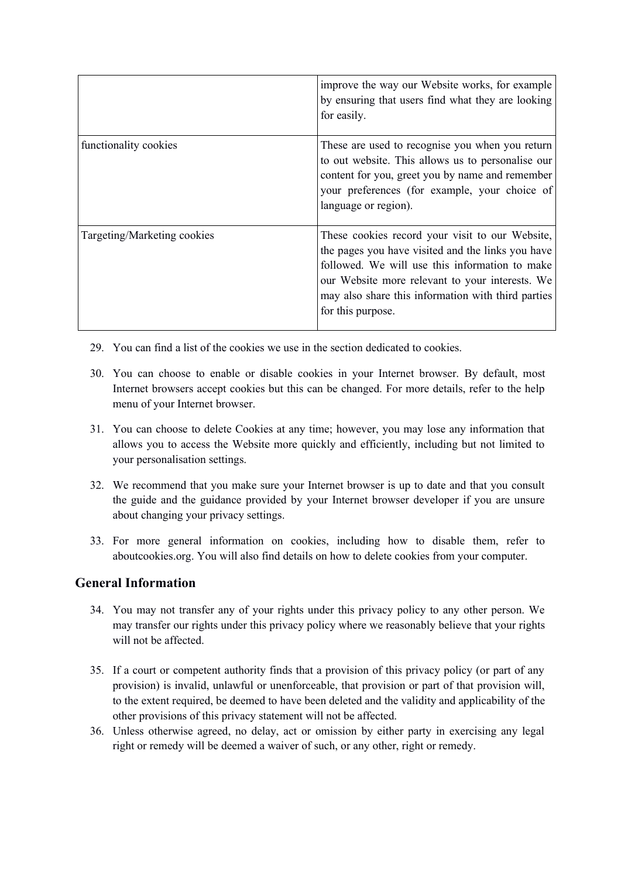|                             | improve the way our Website works, for example<br>by ensuring that users find what they are looking<br>for easily.                                                                                                                                                                   |
|-----------------------------|--------------------------------------------------------------------------------------------------------------------------------------------------------------------------------------------------------------------------------------------------------------------------------------|
| functionality cookies       | These are used to recognise you when you return<br>to out website. This allows us to personalise our<br>content for you, greet you by name and remember<br>your preferences (for example, your choice of<br>language or region).                                                     |
| Targeting/Marketing cookies | These cookies record your visit to our Website,<br>the pages you have visited and the links you have<br>followed. We will use this information to make<br>our Website more relevant to your interests. We<br>may also share this information with third parties<br>for this purpose. |

- 29. You can find a list of the cookies we use in the section dedicated to cookies.
- 30. You can choose to enable or disable cookies in your Internet browser. By default, most Internet browsers accept cookies but this can be changed. For more details, refer to the help menu of your Internet browser.
- 31. You can choose to delete Cookies at any time; however, you may lose any information that allows you to access the Website more quickly and efficiently, including but not limited to your personalisation settings.
- 32. We recommend that you make sure your Internet browser is up to date and that you consult the guide and the guidance provided by your Internet browser developer if you are unsure about changing your privacy settings.
- 33. For more general information on cookies, including how to disable them, refer to aboutcookies.org. You will also find details on how to delete cookies from your computer.

#### **General Information**

- 34. You may not transfer any of your rights under this privacy policy to any other person. We may transfer our rights under this privacy policy where we reasonably believe that your rights will not be affected.
- 35. If a court or competent authority finds that a provision of this privacy policy (or part of any provision) is invalid, unlawful or unenforceable, that provision or part of that provision will, to the extent required, be deemed to have been deleted and the validity and applicability of the other provisions of this privacy statement will not be affected.
- 36. Unless otherwise agreed, no delay, act or omission by either party in exercising any legal right or remedy will be deemed a waiver of such, or any other, right or remedy.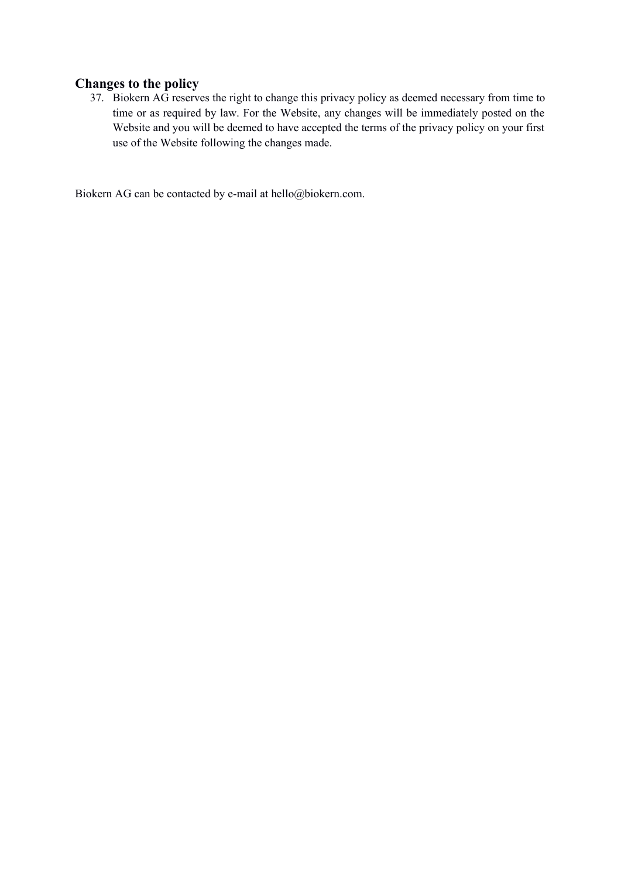# **Changes to the policy**

37. Biokern AG reserves the right to change this privacy policy as deemed necessary from time to time or as required by law. For the Website, any changes will be immediately posted on the Website and you will be deemed to have accepted the terms of the privacy policy on your first use of the Website following the changes made.

Biokern AG can be contacted by e-mail at hello@biokern.com.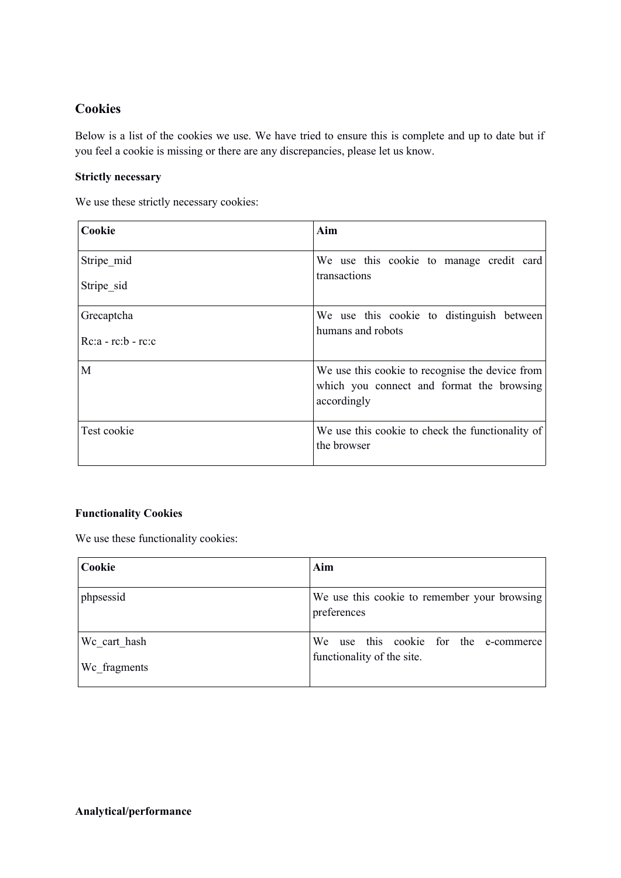# **Cookies**

Below is a list of the cookies we use. We have tried to ensure this is complete and up to date but if you feel a cookie is missing or there are any discrepancies, please let us know.

#### **Strictly necessary**

We use these strictly necessary cookies:

| Cookie                   | Aim                                                             |
|--------------------------|-----------------------------------------------------------------|
| Stripe mid               | We use this cookie to manage credit card<br>transactions        |
| Stripe sid               |                                                                 |
| Grecaptcha               | We use this cookie to distinguish between                       |
| $Rc:a$ - $rc:b$ - $rc:c$ | humans and robots                                               |
| M                        | We use this cookie to recognise the device from                 |
|                          | which you connect and format the browsing<br>accordingly        |
| Test cookie              | We use this cookie to check the functionality of<br>the browser |
|                          |                                                                 |

#### **Functionality Cookies**

We use these functionality cookies:

| Cookie                       | Aim                                                                 |
|------------------------------|---------------------------------------------------------------------|
| phpsessid                    | We use this cookie to remember your browsing<br>preferences         |
| We cart hash<br>We fragments | We use this cookie for the e-commerce<br>functionality of the site. |